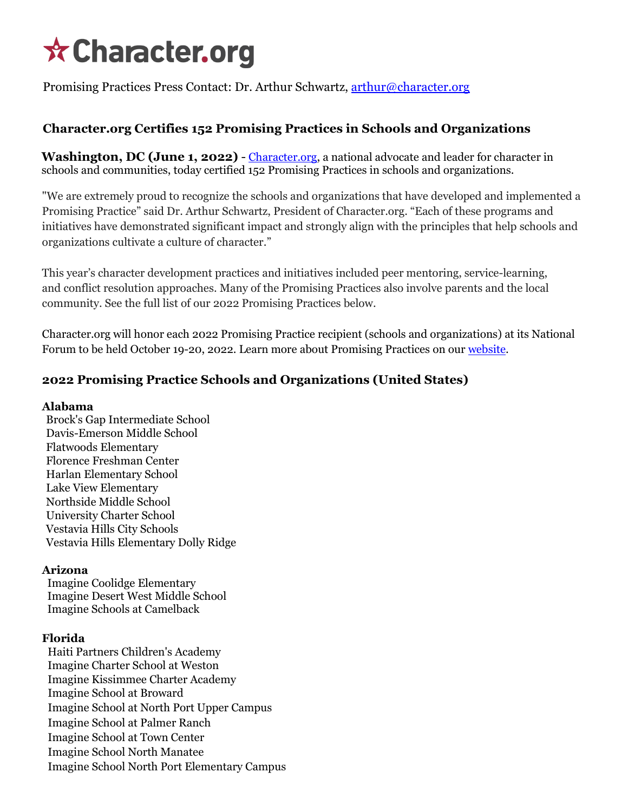# **☆ Character.org**

Promising Practices Press Contact: Dr. Arthur Schwartz, [arthur@character.org](mailto:arthur@character.org)

# **[Character.org](http://character.org/) Certifies 152 Promising Practices in Schools and Organizations**

**Washington, DC (June 1, 2022)** - [Character.org,](http://character.org/) a national advocate and leader for character in schools and communities, today certified 152 Promising Practices in schools and organizations.

"We are extremely proud to recognize the schools and organizations that have developed and implemented a Promising Practice" said Dr. Arthur Schwartz, President of Character.org. "Each of these programs and initiatives have demonstrated significant impact and strongly align with the principles that help schools and organizations cultivate a culture of character."

This year's character development practices and initiatives included peer mentoring, service-learning, and conflict resolution approaches. Many of the Promising Practices also involve parents and the local community. See the full list of our 2022 Promising Practices below.

Character.org will honor each 2022 Promising Practice recipient (schools and organizations) at its National Forum to be held October 19-20, 2022. Learn more about Promising Practices on our [website.](https://www.character.org/)

# **2022 Promising Practice Schools and Organizations (United States)**

## **Alabama**

Brock's Gap Intermediate School Davis-Emerson Middle School Flatwoods Elementary Florence Freshman Center Harlan Elementary School Lake View Elementary Northside Middle School University Charter School Vestavia Hills City Schools Vestavia Hills Elementary Dolly Ridge

# **Arizona**

 Imagine Coolidge Elementary Imagine Desert West Middle School Imagine Schools at Camelback

# **Florida**

 Haiti Partners Children's Academy Imagine Charter School at Weston Imagine Kissimmee Charter Academy Imagine School at Broward Imagine School at North Port Upper Campus Imagine School at Palmer Ranch Imagine School at Town Center Imagine School North Manatee Imagine School North Port Elementary Campus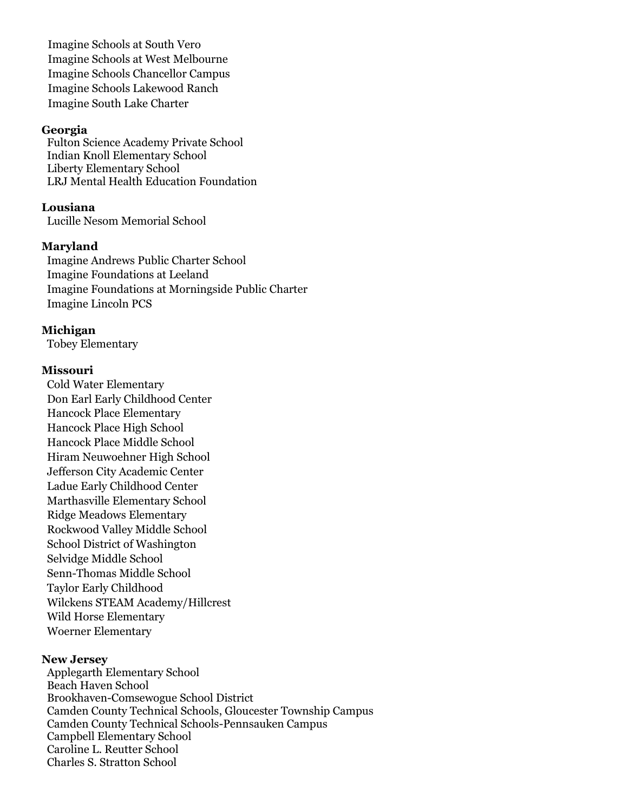Imagine Schools at South Vero Imagine Schools at West Melbourne Imagine Schools Chancellor Campus Imagine Schools Lakewood Ranch Imagine South Lake Charter

#### **Georgia**

 Fulton Science Academy Private School Indian Knoll Elementary School Liberty Elementary School LRJ Mental Health Education Foundation

**Lousiana** Lucille Nesom Memorial School

#### **Maryland**

 Imagine Andrews Public Charter School Imagine Foundations at Leeland Imagine Foundations at Morningside Public Charter Imagine Lincoln PCS

#### **Michigan**

Tobey Elementary

#### **Missouri**

 Cold Water Elementary Don Earl Early Childhood Center Hancock Place Elementary Hancock Place High School Hancock Place Middle School Hiram Neuwoehner High School Jefferson City Academic Center Ladue Early Childhood Center Marthasville Elementary School Ridge Meadows Elementary Rockwood Valley Middle School School District of Washington Selvidge Middle School Senn-Thomas Middle School Taylor Early Childhood Wilckens STEAM Academy/Hillcrest Wild Horse Elementary Woerner Elementary

## **New Jersey**

 Applegarth Elementary School Beach Haven School Brookhaven-Comsewogue School District Camden County Technical Schools, Gloucester Township Campus Camden County Technical Schools-Pennsauken Campus Campbell Elementary School Caroline L. Reutter School Charles S. Stratton School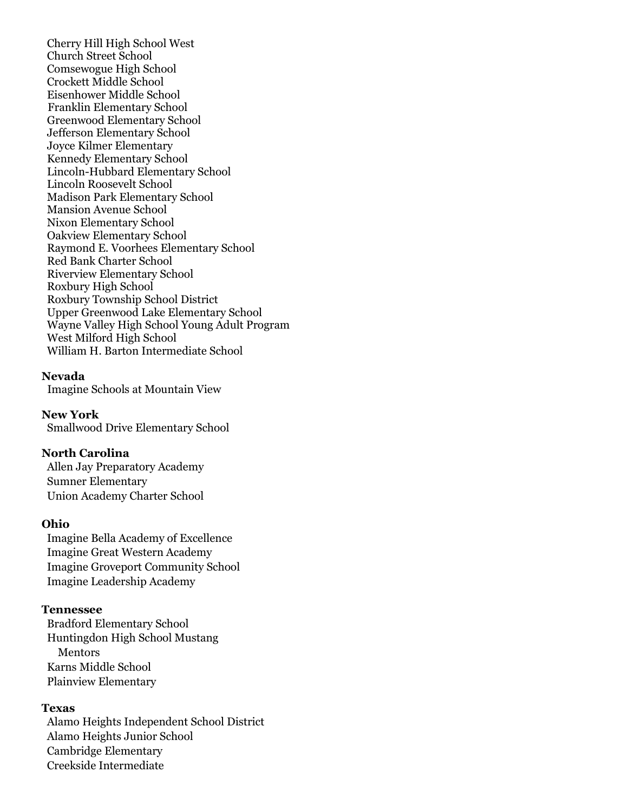Cherry Hill High School West Church Street School Comsewogue High School Crockett Middle School Eisenhower Middle School Franklin Elementary School Greenwood Elementary School Jefferson Elementary School Joyce Kilmer Elementary Kennedy Elementary School Lincoln-Hubbard Elementary School Lincoln Roosevelt School Madison Park Elementary School Mansion Avenue School Nixon Elementary School Oakview Elementary School Raymond E. Voorhees Elementary School Red Bank Charter School Riverview Elementary School Roxbury High School Roxbury Township School District Upper Greenwood Lake Elementary School Wayne Valley High School Young Adult Program West Milford High School William H. Barton Intermediate School

#### **Nevada**

Imagine Schools at Mountain View

**New York** Smallwood Drive Elementary School

## **North Carolina**

Allen Jay Preparatory Academy Sumner Elementary Union Academy Charter School

#### **Ohio**

 Imagine Bella Academy of Excellence Imagine Great Western Academy Imagine Groveport Community School Imagine Leadership Academy

#### **Tennessee**

 Bradford Elementary School Huntingdon High School Mustang **Mentors**  Karns Middle School Plainview Elementary

#### **Texas**

 Alamo Heights Independent School District Alamo Heights Junior School Cambridge Elementary Creekside Intermediate